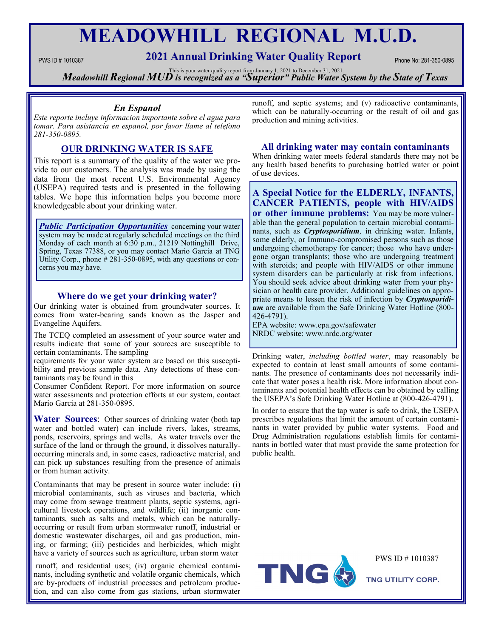# **MEADOWHILL REGIONAL M.U.D.**

# **PWS ID # 1010387 2021 Annual Drinking Water Quality Report** Phone No: 281-350-0895

**Meadowhill Regional MUD** is recognized as a "Superior" Public Water System by the State of Texas

## *En Espanol*

*Este reporte incluye informacion importante sobre el agua para tomar. Para asistancia en espanol, por favor llame al telefono 281-350-0895.*

# **OUR DRINKING WATER IS SAFE**

This report is a summary of the quality of the water we provide to our customers. The analysis was made by using the data from the most recent U.S. Environmental Agency (USEPA) required tests and is presented in the following tables. We hope this information helps you become more knowledgeable about your drinking water.

*Public Participation Opportunities* concerning your water system may be made at regularly scheduled meetings on the third Monday of each month at 6:30 p.m., 21219 Nottinghill Drive, Spring, Texas 77388, or you may contact Mario Garcia at TNG Utility Corp., phone # 281-350-0895, with any questions or concerns you may have.

## **Where do we get your drinking water?**

Our drinking water is obtained from groundwater sources. It comes from water-bearing sands known as the Jasper and Evangeline Aquifers.

The TCEQ completed an assessment of your source water and results indicate that some of your sources are susceptible to certain contaminants. The sampling

requirements for your water system are based on this susceptibility and previous sample data. Any detections of these contaminants may be found in this

Consumer Confident Report. For more information on source water assessments and protection efforts at our system, contact Mario Garcia at 281-350-0895.

**Water Sources:** Other sources of drinking water (both tap water and bottled water) can include rivers, lakes, streams, ponds, reservoirs, springs and wells. As water travels over the surface of the land or through the ground, it dissolves naturallyoccurring minerals and, in some cases, radioactive material, and can pick up substances resulting from the presence of animals or from human activity.

Contaminants that may be present in source water include: (i) microbial contaminants, such as viruses and bacteria, which may come from sewage treatment plants, septic systems, agricultural livestock operations, and wildlife; (ii) inorganic contaminants, such as salts and metals, which can be naturallyoccurring or result from urban stormwater runoff, industrial or domestic wastewater discharges, oil and gas production, mining, or farming; (iii) pesticides and herbicides, which might have a variety of sources such as agriculture, urban storm water

runoff, and residential uses; (iv) organic chemical contaminants, including synthetic and volatile organic chemicals, which are by-products of industrial processes and petroleum production, and can also come from gas stations, urban stormwater

runoff, and septic systems; and (v) radioactive contaminants, which can be naturally-occurring or the result of oil and gas production and mining activities.

### **All drinking water may contain contaminants**

When drinking water meets federal standards there may not be any health based benefits to purchasing bottled water or point of use devices.

**A Special Notice for the ELDERLY, INFANTS, CANCER PATIENTS, people with HIV/AIDS or other immune problems:** You may be more vulnerable than the general population to certain microbial contaminants, such as *Cryptosporidium,* in drinking water. Infants, some elderly, or Immuno-compromised persons such as those undergoing chemotherapy for cancer; those who have undergone organ transplants; those who are undergoing treatment with steroids; and people with HIV/AIDS or other immune system disorders can be particularly at risk from infections. You should seek advice about drinking water from your physician or health care provider. Additional guidelines on appropriate means to lessen the risk of infection by *Cryptosporidium* are available from the Safe Drinking Water Hotline (800- 426-4791).

EPA website: www.epa.gov/safewater NRDC website: www.nrdc.org/water

Drinking water, *including bottled water*, may reasonably be expected to contain at least small amounts of some contaminants. The presence of contaminants does not necessarily indicate that water poses a health risk. More information about contaminants and potential health effects can be obtained by calling the USEPA's Safe Drinking Water Hotline at (800-426-4791).

In order to ensure that the tap water is safe to drink, the USEPA prescribes regulations that limit the amount of certain contaminants in water provided by public water systems. Food and Drug Administration regulations establish limits for contaminants in bottled water that must provide the same protection for public health.



PWS ID # 1010387

TNG UTILITY CORP.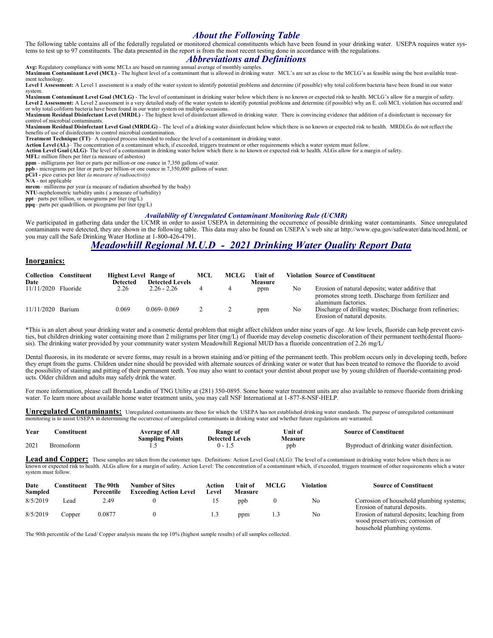# *About the Following Table*

The following table contains all of the federally regulated or monitored chemical constituents which have been found in your drinking water. USEPA requires water systems to test up to 97 constituents. The data presented in the report is from the most recent testing done in accordance with the regulations.

## *Abbreviations and Definitions*

Avg: Regulatory compliance with some MCLs are based on running annual average of monthly samples.<br>Maximum Contaminant Level (MCL) - The highest level of a contaminant that is allowed in drinking water. MCL's are set as clo ment technology.

Level 1 Assessment: A Level 1 assessment is a study of the water system to identify potential problems and determine (if possible) why total coliform bacteria have been found in our water system.

**Maximum Contaminant Level Goal (MCLG)** - The level of contaminant in drinking water below which there is no known or expected risk to health. MCLG's allow for a margin of safety. Level 2 Assessment: A Level 2 assessment is a very detailed study of the water system to identify potential problems and determine (if possible) why an E. coli MCL violation has occurred and/ or why total coliform bacteria have been found in our water system on multiple occasions.

Maximum Residual Disinfectant Level (MRDL) - The highest level of disinfectant allowed in drinking water. There is convincing evidence that addition of a disinfectant is necessary for control of microbial contaminants.

**Maximum Residual Disinfectant Level Goal (MRDLG)** - The level of a drinking water disinfectant below which there is no known or expected risk to health. MRDLGs do not reflect the benefits of use of disinfectants to control microbial contamination.

**Treatment Technique (TT)**– A required process intended to reduce the level of a contaminant in drinking water.

Action Level (AL)– The concentration of a contaminant which, if exceeded, triggers treatment or other requirements which a water system must follow.<br>Action Level Goal (ALG)- The level of a contaminant in drinking water bel

**MFL:** million fibers per liter (a measure of asbestos)

**ppm** - milligrams per liter or parts per million-or one ounce in 7,350 gallons of water. **ppb** - micrograms per liter or parts per billion-or one ounce in 7,350,000 gallons of water.

**pCi/l -** pico curies per liter *(a measure of radioactivity)* 

**N/A** - not applicable

**mrem**– millirems per year (a measure of radiation absorbed by the body)

**NTU**-nephelometric turbidity units ( a measure of turbidity)

**ppt**– parts per trillion, or nanograms per liter (ng/L)

**ppq**– parts per quadrillion, or picograms per liter (pg/L)

#### *Availability of Unregulated Contaminant Monitoring Rule (UCMR)*

We participated in gathering data under the UCMR in order to assist USEPA in determining the occurrence of possible drinking water contaminants. Since unregulated contaminants were detected, they are shown in the following table. This data may also be found on USEPA's web site at http://www.epa.gov/safewater/data/ncod.html, or you may call the Safe Drinking Water Hotline at 1-800-426-4791.

# *Meadowhill Regional M.U.D - 2021 Drinking Water Quality Report Data*

#### **Inorganics:**

| Collection<br>Date  | Constituent | <b>Highest Level Range of</b><br><b>Detected</b> | <b>Detected Levels</b> | MCL | <b>MCLG</b> | Unit of<br><b>Measure</b> |    | <b>Violation Source of Constituent</b>                                                                                          |
|---------------------|-------------|--------------------------------------------------|------------------------|-----|-------------|---------------------------|----|---------------------------------------------------------------------------------------------------------------------------------|
| 11/11/2020 Fluoride |             | 2.26                                             | $2.26 - 2.26$          |     |             | ppm                       | No | Erosion of natural deposits; water additive that<br>promotes strong teeth. Discharge from fertilizer and<br>aluminum factories. |
| $11/11/2020$ Barium |             | 0.069                                            | $0.069 - 0.069$        |     |             | ppm                       | No | Discharge of drilling wastes; Discharge from refineries;<br>Erosion of natural deposits.                                        |

\*This is an alert about your drinking water and a cosmetic dental problem that might affect children under nine years of age. At low levels, fluoride can help prevent cavities, but children drinking water containing more than 2 miligrams per liter (mg/L) of fluoride may develop cosmetic discoloration of their permanent teeth(dental fluorosis). The drinking water provided by your community water system Meadowhill Regional MUD has a fluoride concentration of 2.26 mg/L/

Dental fluorosis, in its moderate or severe forms, may result in a brown staining and/or pitting of the permanent teeth. This problem occurs only in developing teeth, before they erupt from the gums. Children under nine should be provided with alternate sources of drinking water or water that has been treated to remove the fluoride to avoid the possibility of staining and pitting of their permanent teeth. You may also want to contact your dentist about proper use by young children of fluoride-containing products. Older children and adults may safely drink the water.

For more information, please call Brenda Landin of TNG Utility at (281) 350-0895. Some home water treatment units are also available to remove fluoride from drinking water. To learn more about available home water treatment units, you may call NSF International at 1-877-8-NSF-HELP.

**Unregulated Contaminants:** Unregulated contaminants are those for which the USEPA has not established drinking water standards. The purpose of unregulated contaminant monitoring is to assist USEPA in determining the occurrence of unregulated contaminants in drinking water and whether future regulations are warranted.

| Year | `onstituent | Average of All         | Kange of        | Unit of | <b>Source of Constituent</b>              |
|------|-------------|------------------------|-----------------|---------|-------------------------------------------|
|      |             | <b>Sampling Points</b> | Detected Levels | Measure |                                           |
| 2021 | Bromoform   | .                      |                 | ppb     | Byproduct of drinking water disinfection. |

Lead and Copper: These samples are taken from the customer taps. Definitions: Action Level Goal (ALG): The level of a contaminant in drinking water below which there is no known or expected risk to health. ALGs allow for a margin of safety. Action Level: The concentration of a contaminant which, if exceeded, triggers treatment of other requirements which a water system must follow.

| Date<br>Sampled | <b>Constituent</b> | The 90th<br>Percentile | <b>Number of Sites</b><br><b>Exceeding Action Level</b> | Action<br>Level | <b>Unit of</b><br>Measure | <b>MCLG</b> | Violation | <b>Source of Constituent</b>                                                                                  |
|-----------------|--------------------|------------------------|---------------------------------------------------------|-----------------|---------------------------|-------------|-----------|---------------------------------------------------------------------------------------------------------------|
| 8/5/2019        | Lead               | 2.49                   |                                                         |                 | ppb                       |             | No        | Corrosion of household plumbing systems;<br>Erosion of natural deposits.                                      |
| 8/5/2019        | Copper             | 0.0877                 |                                                         | 1.3             | ppm                       |             | No        | Erosion of natural deposits; leaching from<br>wood preservatives; corrosion of<br>household plumbing systems. |

The 90th percentile of the Lead/ Copper analysis means the top 10% (highest sample results) of all samples collected.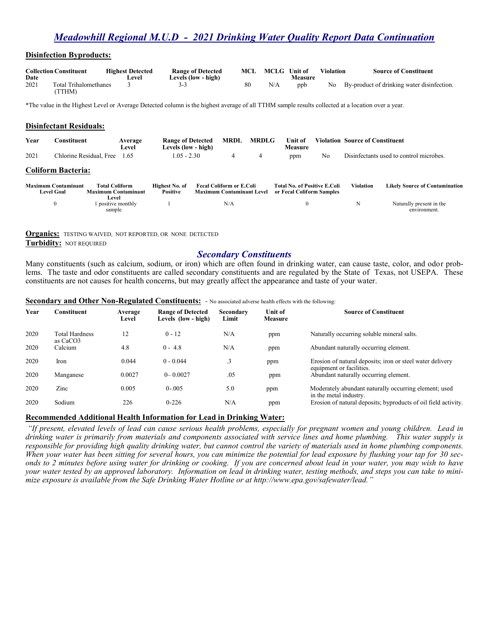# *Meadowhill Regional M.U.D - 2021 Drinking Water Quality Report Data Continuation*

#### **Disinfection Byproducts:**

| Date | <b>Collection Constituent</b>  | <b>Highest Detected</b><br>∍evel | <b>Range of Detected</b><br>Levels (low - high) | MCL | MCLG Unit of | Measure | Violation | <b>Source of Constituent</b>                  |
|------|--------------------------------|----------------------------------|-------------------------------------------------|-----|--------------|---------|-----------|-----------------------------------------------|
| 2021 | Total Trihalomethanes<br>TTHM) |                                  | 3-3                                             |     | N/A          | ppb     |           | No By-product of drinking water disinfection. |

\*The value in the Highest Level or Average Detected column is the highest average of all TTHM sample results collected at a location over a year.

#### **Disinfectant Residuals:**

| Year | Constituent                                     |                                               | Average<br>Level | <b>Range of Detected</b><br>Levels (low - high) | <b>MRDL</b>                                                         | <b>MRDLG</b> | <b>Unit of</b><br><b>Measure</b>                                 |    | <b>Violation Source of Constituent</b> |                                          |
|------|-------------------------------------------------|-----------------------------------------------|------------------|-------------------------------------------------|---------------------------------------------------------------------|--------------|------------------------------------------------------------------|----|----------------------------------------|------------------------------------------|
| 2021 | Chlorine Residual, Free                         |                                               | 1.65             | $1.05 - 2.30$                                   |                                                                     | 4            | ppm                                                              | No |                                        | Disinfectants used to control microbes.  |
|      | <b>Coliform Bacteria:</b>                       |                                               |                  |                                                 |                                                                     |              |                                                                  |    |                                        |                                          |
|      | <b>Maximum Contaminant</b><br><b>Level Goal</b> | Total Coliform-<br><b>Maximum Contaminant</b> |                  | Highest No. of<br><b>Positive</b>               | <b>Fecal Coliform or E.Coli</b><br><b>Maximum Contaminant Level</b> |              | <b>Total No. of Positive E.Coli</b><br>or Fecal Coliform Samples |    | Violation                              | <b>Likely Source of Contamination</b>    |
|      | $\mathbf{0}$                                    | Level<br>positive monthly<br>sample           |                  |                                                 | N/A                                                                 |              | 0                                                                |    | N                                      | Naturally present in the<br>environment. |

**Organics:** TESTING WAIVED, NOT REPORTED, OR NONE DETECTED **Turbidity:** NOT REQUIRED

# *Secondary Constituents*

Many constituents (such as calcium, sodium, or iron) which are often found in drinking water, can cause taste, color, and odor problems. The taste and odor constituents are called secondary constituents and are regulated by the State of Texas, not USEPA. These constituents are not causes for health concerns, but may greatly affect the appearance and taste of your water.

| Year | Constituent                       | Average<br>Level | <b>Range of Detected</b><br>Levels (low - high) | Secondary<br>Limit | Unit of<br><b>Measure</b> | <b>Source of Constituent</b>                                                          |
|------|-----------------------------------|------------------|-------------------------------------------------|--------------------|---------------------------|---------------------------------------------------------------------------------------|
| 2020 | <b>Total Hardness</b><br>as CaCO3 | 12               | $0 - 12$                                        | N/A                | ppm                       | Naturally occurring soluble mineral salts.                                            |
| 2020 | Calcium                           | 4.8              | $0 - 4.8$                                       | N/A                | ppm                       | Abundant naturally occurring element.                                                 |
| 2020 | Iron                              | 0.044            | $0 - 0.044$                                     | $\cdot$ 3          | ppm                       | Erosion of natural deposits; iron or steel water delivery<br>equipment or facilities. |
| 2020 | Manganese                         | 0.0027           | $0 - 0.0027$                                    | .05                | ppm                       | Abundant naturally occurring element.                                                 |
| 2020 | Zinc                              | 0.005            | $0 - 005$                                       | 5.0                | ppm                       | Moderately abundant naturally occurring element; used<br>in the metal industry.       |
| 2020 | Sodium                            | 226              | $0 - 226$                                       | N/A                | ppm                       | Erosion of natural deposits; byproducts of oil field activity.                        |

# 5 **Recommended Additional Health Information for Lead in Drinking Water:**

**Secondary and Other Non-Regulated Constituents:** *-* No associated adverse health effects with the following:

*"If present, elevated levels of lead can cause serious health problems, especially for pregnant women and young children. Lead in drinking water is primarily from materials and components associated with service lines and home plumbing. This water supply is responsible for providing high quality drinking water, but cannot control the variety of materials used in home plumbing components. When your water has been sitting for several hours, you can minimize the potential for lead exposure by flushing your tap for 30 seconds to 2 minutes before using water for drinking or cooking. If you are concerned about lead in your water, you may wish to have your water tested by an approved laboratory. Information on lead in drinking water, testing methods, and steps you can take to minimize exposure is available from the Safe Drinking Water Hotline or at http://www.epa.gov/safewater/lead."*